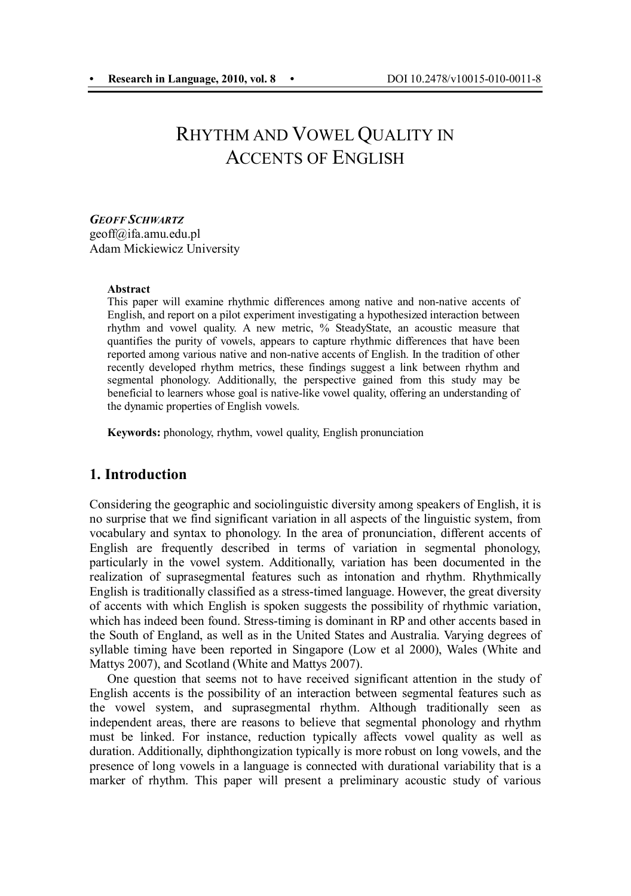# RHYTHM AND VOWEL QUALITY IN ACCENTS OF ENGLISH

*GEOFF SCHWARTZ* geoff@ifa.amu.edu.pl Adam Mickiewicz University

#### **Abstract**

This paper will examine rhythmic differences among native and non-native accents of English, and report on a pilot experiment investigating a hypothesized interaction between rhythm and vowel quality. A new metric, % SteadyState, an acoustic measure that quantifies the purity of vowels, appears to capture rhythmic differences that have been reported among various native and non-native accents of English. In the tradition of other recently developed rhythm metrics, these findings suggest a link between rhythm and segmental phonology. Additionally, the perspective gained from this study may be beneficial to learners whose goal is native-like vowel quality, offering an understanding of the dynamic properties of English vowels.

**Keywords:** phonology, rhythm, vowel quality, English pronunciation

## **1. Introduction**

Considering the geographic and sociolinguistic diversity among speakers of English, it is no surprise that we find significant variation in all aspects of the linguistic system, from vocabulary and syntax to phonology. In the area of pronunciation, different accents of English are frequently described in terms of variation in segmental phonology, particularly in the vowel system. Additionally, variation has been documented in the realization of suprasegmental features such as intonation and rhythm. Rhythmically English is traditionally classified as a stress-timed language. However, the great diversity of accents with which English is spoken suggests the possibility of rhythmic variation, which has indeed been found. Stress-timing is dominant in RP and other accents based in the South of England, as well as in the United States and Australia. Varying degrees of syllable timing have been reported in Singapore (Low et al 2000), Wales (White and Mattys 2007), and Scotland (White and Mattys 2007).

One question that seems not to have received significant attention in the study of English accents is the possibility of an interaction between segmental features such as the vowel system, and suprasegmental rhythm. Although traditionally seen as independent areas, there are reasons to believe that segmental phonology and rhythm must be linked. For instance, reduction typically affects vowel quality as well as duration. Additionally, diphthongization typically is more robust on long vowels, and the presence of long vowels in a language is connected with durational variability that is a marker of rhythm. This paper will present a preliminary acoustic study of various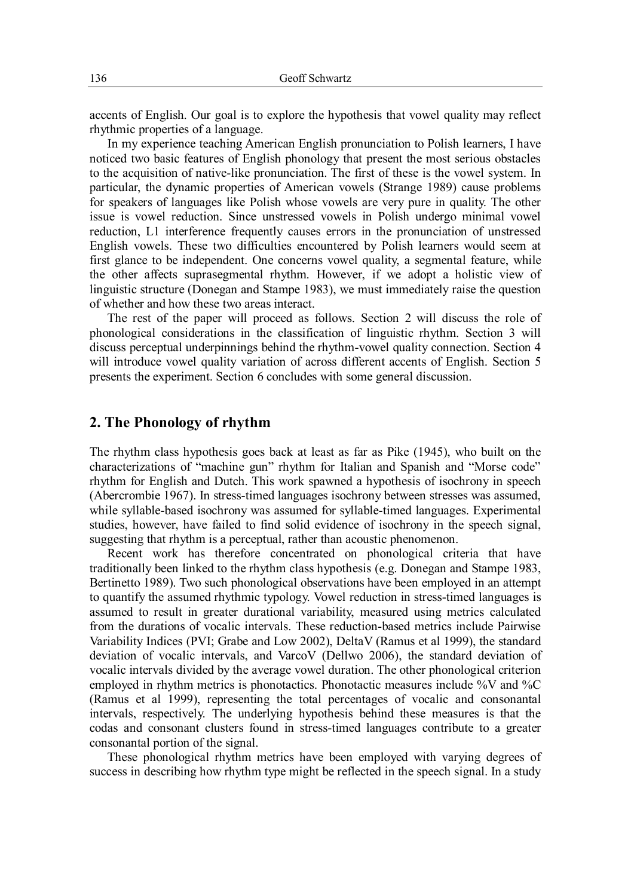accents of English. Our goal is to explore the hypothesis that vowel quality may reflect rhythmic properties of a language.

In my experience teaching American English pronunciation to Polish learners, I have noticed two basic features of English phonology that present the most serious obstacles to the acquisition of native-like pronunciation. The first of these is the vowel system. In particular, the dynamic properties of American vowels (Strange 1989) cause problems for speakers of languages like Polish whose vowels are very pure in quality. The other issue is vowel reduction. Since unstressed vowels in Polish undergo minimal vowel reduction, L1 interference frequently causes errors in the pronunciation of unstressed English vowels. These two difficulties encountered by Polish learners would seem at first glance to be independent. One concerns vowel quality, a segmental feature, while the other affects suprasegmental rhythm. However, if we adopt a holistic view of linguistic structure (Donegan and Stampe 1983), we must immediately raise the question of whether and how these two areas interact.

The rest of the paper will proceed as follows. Section 2 will discuss the role of phonological considerations in the classification of linguistic rhythm. Section 3 will discuss perceptual underpinnings behind the rhythm-vowel quality connection. Section 4 will introduce vowel quality variation of across different accents of English. Section 5 presents the experiment. Section 6 concludes with some general discussion.

#### **2. The Phonology of rhythm**

The rhythm class hypothesis goes back at least as far as Pike (1945), who built on the characterizations of "machine gun" rhythm for Italian and Spanish and "Morse code" rhythm for English and Dutch. This work spawned a hypothesis of isochrony in speech (Abercrombie 1967). In stress-timed languages isochrony between stresses was assumed, while syllable-based isochrony was assumed for syllable-timed languages. Experimental studies, however, have failed to find solid evidence of isochrony in the speech signal, suggesting that rhythm is a perceptual, rather than acoustic phenomenon.

Recent work has therefore concentrated on phonological criteria that have traditionally been linked to the rhythm class hypothesis (e.g. Donegan and Stampe 1983, Bertinetto 1989). Two such phonological observations have been employed in an attempt to quantify the assumed rhythmic typology. Vowel reduction in stress-timed languages is assumed to result in greater durational variability, measured using metrics calculated from the durations of vocalic intervals. These reduction-based metrics include Pairwise Variability Indices (PVI; Grabe and Low 2002), DeltaV (Ramus et al 1999), the standard deviation of vocalic intervals, and VarcoV (Dellwo 2006), the standard deviation of vocalic intervals divided by the average vowel duration. The other phonological criterion employed in rhythm metrics is phonotactics. Phonotactic measures include %V and %C (Ramus et al 1999), representing the total percentages of vocalic and consonantal intervals, respectively. The underlying hypothesis behind these measures is that the codas and consonant clusters found in stress-timed languages contribute to a greater consonantal portion of the signal.

These phonological rhythm metrics have been employed with varying degrees of success in describing how rhythm type might be reflected in the speech signal. In a study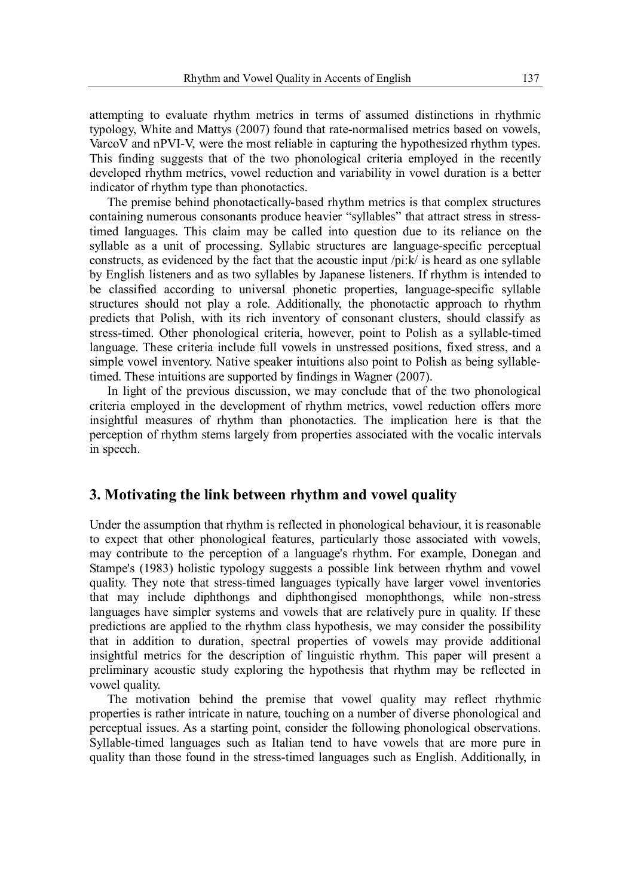attempting to evaluate rhythm metrics in terms of assumed distinctions in rhythmic typology, White and Mattys (2007) found that rate-normalised metrics based on vowels, VarcoV and nPVI-V, were the most reliable in capturing the hypothesized rhythm types. This finding suggests that of the two phonological criteria employed in the recently developed rhythm metrics, vowel reduction and variability in vowel duration is a better indicator of rhythm type than phonotactics.

The premise behind phonotactically-based rhythm metrics is that complex structures containing numerous consonants produce heavier "syllables" that attract stress in stresstimed languages. This claim may be called into question due to its reliance on the syllable as a unit of processing. Syllabic structures are language-specific perceptual constructs, as evidenced by the fact that the acoustic input /pi:k/ is heard as one syllable by English listeners and as two syllables by Japanese listeners. If rhythm is intended to be classified according to universal phonetic properties, language-specific syllable structures should not play a role. Additionally, the phonotactic approach to rhythm predicts that Polish, with its rich inventory of consonant clusters, should classify as stress-timed. Other phonological criteria, however, point to Polish as a syllable-timed language. These criteria include full vowels in unstressed positions, fixed stress, and a simple vowel inventory. Native speaker intuitions also point to Polish as being syllabletimed. These intuitions are supported by findings in Wagner (2007).

In light of the previous discussion, we may conclude that of the two phonological criteria employed in the development of rhythm metrics, vowel reduction offers more insightful measures of rhythm than phonotactics. The implication here is that the perception of rhythm stems largely from properties associated with the vocalic intervals in speech.

#### **3. Motivating the link between rhythm and vowel quality**

Under the assumption that rhythm is reflected in phonological behaviour, it is reasonable to expect that other phonological features, particularly those associated with vowels, may contribute to the perception of a language's rhythm. For example, Donegan and Stampe's (1983) holistic typology suggests a possible link between rhythm and vowel quality. They note that stress-timed languages typically have larger vowel inventories that may include diphthongs and diphthongised monophthongs, while non-stress languages have simpler systems and vowels that are relatively pure in quality. If these predictions are applied to the rhythm class hypothesis, we may consider the possibility that in addition to duration, spectral properties of vowels may provide additional insightful metrics for the description of linguistic rhythm. This paper will present a preliminary acoustic study exploring the hypothesis that rhythm may be reflected in vowel quality.

The motivation behind the premise that vowel quality may reflect rhythmic properties is rather intricate in nature, touching on a number of diverse phonological and perceptual issues. As a starting point, consider the following phonological observations. Syllable-timed languages such as Italian tend to have vowels that are more pure in quality than those found in the stress-timed languages such as English. Additionally, in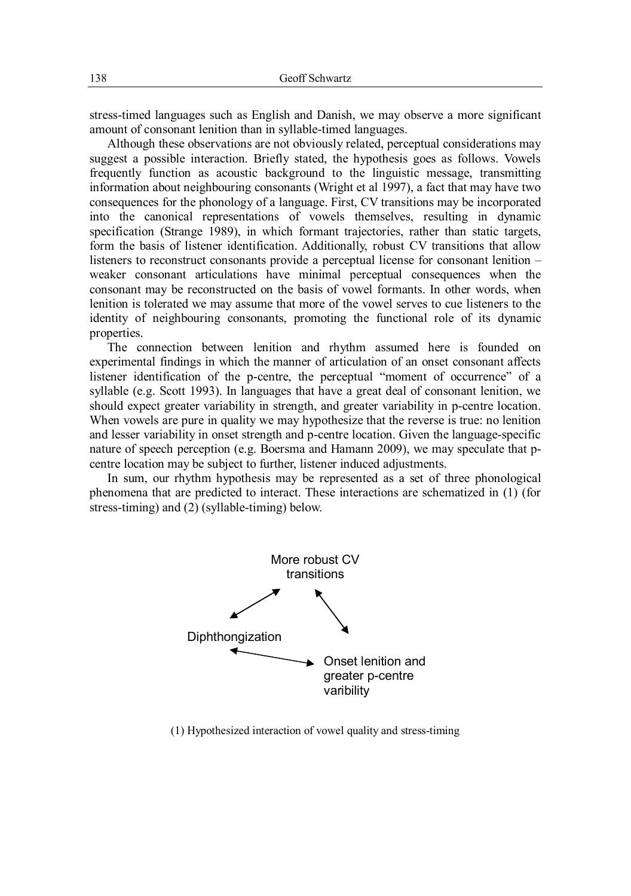stress-timed languages such as English and Danish, we may observe a more significant amount of consonant lenition than in syllable-timed languages.

Although these observations are not obviously related, perceptual considerations may suggest a possible interaction. Briefly stated, the hypothesis goes as follows. Vowels frequently function as acoustic background to the linguistic message, transmitting information about neighbouring consonants (Wright et al 1997), a fact that may have two consequences for the phonology of a language. First, CV transitions may be incorporated into the canonical representations of vowels themselves, resulting in dynamic specification (Strange 1989), in which formant trajectories, rather than static targets, form the basis of listener identification. Additionally, robust CV transitions that allow listeners to reconstruct consonants provide a perceptual license for consonant lenition – weaker consonant articulations have minimal perceptual consequences when the consonant may be reconstructed on the basis of vowel formants. In other words, when lenition is tolerated we may assume that more of the vowel serves to cue listeners to the identity of neighbouring consonants, promoting the functional role of its dynamic properties.

The connection between lenition and rhythm assumed here is founded on experimental findings in which the manner of articulation of an onset consonant affects listener identification of the p-centre, the perceptual "moment of occurrence" of a syllable (e.g. Scott 1993). In languages that have a great deal of consonant lenition, we should expect greater variability in strength, and greater variability in p-centre location. When vowels are pure in quality we may hypothesize that the reverse is true: no lenition and lesser variability in onset strength and p-centre location. Given the language-specific nature of speech perception (e.g. Boersma and Hamann 2009), we may speculate that pcentre location may be subject to further, listener induced adjustments.

In sum, our rhythm hypothesis may be represented as a set of three phonological phenomena that are predicted to interact. These interactions are schematized in (1) (for stress-timing) and (2) (syllable-timing) below.



(1) Hypothesized interaction of vowel quality and stress-timing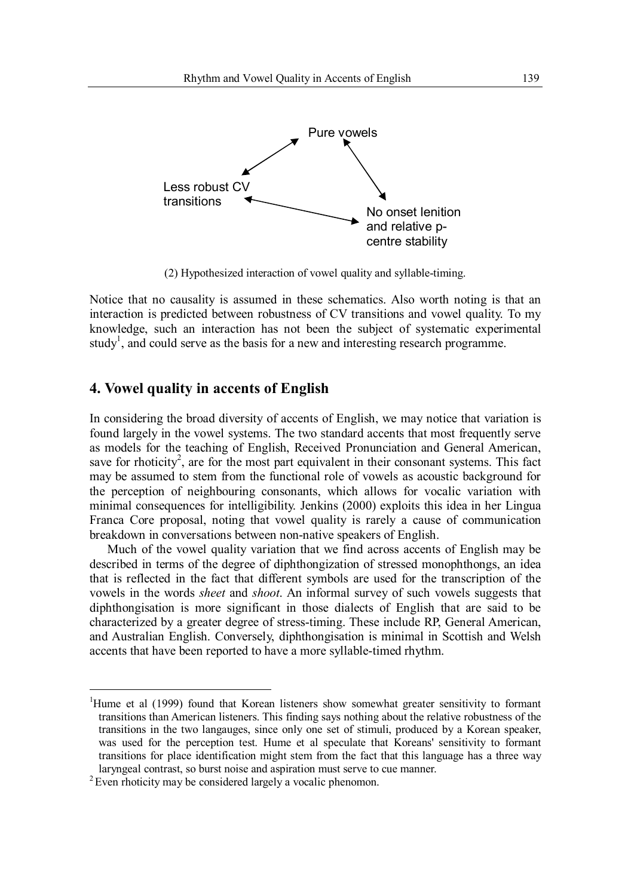

(2) Hypothesized interaction of vowel quality and syllable-timing.

Notice that no causality is assumed in these schematics. Also worth noting is that an interaction is predicted between robustness of CV transitions and vowel quality. To my knowledge, such an interaction has not been the subject of systematic experimental study<sup>1</sup>, and could serve as the basis for a new and interesting research programme.

## **4. Vowel quality in accents of English**

In considering the broad diversity of accents of English, we may notice that variation is found largely in the vowel systems. The two standard accents that most frequently serve as models for the teaching of English, Received Pronunciation and General American, save for rhoticity<sup>2</sup>, are for the most part equivalent in their consonant systems. This fact may be assumed to stem from the functional role of vowels as acoustic background for the perception of neighbouring consonants, which allows for vocalic variation with minimal consequences for intelligibility. Jenkins (2000) exploits this idea in her Lingua Franca Core proposal, noting that vowel quality is rarely a cause of communication breakdown in conversations between non-native speakers of English.

Much of the vowel quality variation that we find across accents of English may be described in terms of the degree of diphthongization of stressed monophthongs, an idea that is reflected in the fact that different symbols are used for the transcription of the vowels in the words *sheet* and *shoot*. An informal survey of such vowels suggests that diphthongisation is more significant in those dialects of English that are said to be characterized by a greater degree of stress-timing. These include RP, General American, and Australian English. Conversely, diphthongisation is minimal in Scottish and Welsh accents that have been reported to have a more syllable-timed rhythm.

 $\overline{a}$ 

<sup>&</sup>lt;sup>1</sup>Hume et al (1999) found that Korean listeners show somewhat greater sensitivity to formant transitions than American listeners. This finding says nothing about the relative robustness of the transitions in the two langauges, since only one set of stimuli, produced by a Korean speaker, was used for the perception test. Hume et al speculate that Koreans' sensitivity to formant transitions for place identification might stem from the fact that this language has a three way laryngeal contrast, so burst noise and aspiration must serve to cue manner.

<sup>&</sup>lt;sup>2</sup> Even rhoticity may be considered largely a vocalic phenomon.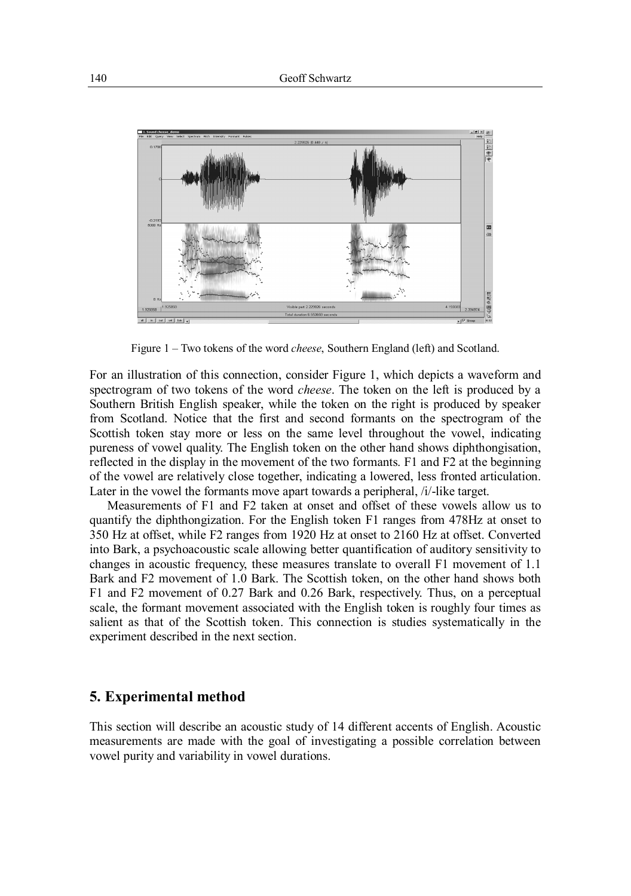

Figure 1 – Two tokens of the word *cheese*, Southern England (left) and Scotland.

For an illustration of this connection, consider Figure 1, which depicts a waveform and spectrogram of two tokens of the word *cheese*. The token on the left is produced by a Southern British English speaker, while the token on the right is produced by speaker from Scotland. Notice that the first and second formants on the spectrogram of the Scottish token stay more or less on the same level throughout the vowel, indicating pureness of vowel quality. The English token on the other hand shows diphthongisation, reflected in the display in the movement of the two formants. F1 and F2 at the beginning of the vowel are relatively close together, indicating a lowered, less fronted articulation. Later in the vowel the formants move apart towards a peripheral, /i/-like target.

Measurements of F1 and F2 taken at onset and offset of these vowels allow us to quantify the diphthongization. For the English token F1 ranges from 478Hz at onset to 350 Hz at offset, while F2 ranges from 1920 Hz at onset to 2160 Hz at offset. Converted into Bark, a psychoacoustic scale allowing better quantification of auditory sensitivity to changes in acoustic frequency, these measures translate to overall F1 movement of 1.1 Bark and F2 movement of 1.0 Bark. The Scottish token, on the other hand shows both F1 and F2 movement of 0.27 Bark and 0.26 Bark, respectively. Thus, on a perceptual scale, the formant movement associated with the English token is roughly four times as salient as that of the Scottish token. This connection is studies systematically in the experiment described in the next section.

#### **5. Experimental method**

This section will describe an acoustic study of 14 different accents of English. Acoustic measurements are made with the goal of investigating a possible correlation between vowel purity and variability in vowel durations.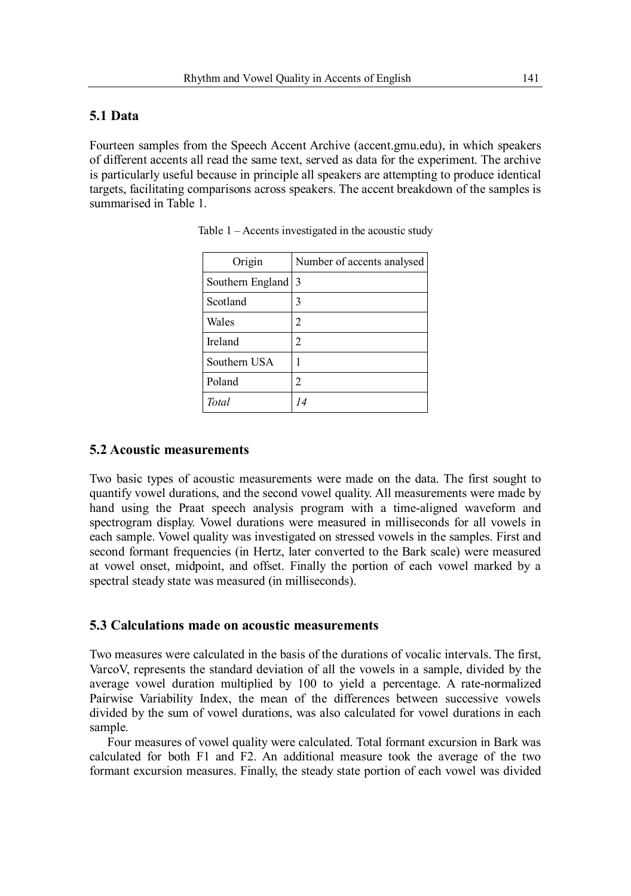#### **5.1 Data**

Fourteen samples from the Speech Accent Archive (accent.gmu.edu), in which speakers of different accents all read the same text, served as data for the experiment. The archive is particularly useful because in principle all speakers are attempting to produce identical targets, facilitating comparisons across speakers. The accent breakdown of the samples is summarised in Table 1.

| Origin           | Number of accents analysed |
|------------------|----------------------------|
| Southern England | 3                          |
| Scotland         | 3                          |
| Wales            | 2                          |
| Ireland          | 2                          |
| Southern USA     |                            |
| Poland           | 2                          |
| Total            |                            |

|  | Table 1 – Accents investigated in the acoustic study |  |  |
|--|------------------------------------------------------|--|--|
|  |                                                      |  |  |

#### **5.2 Acoustic measurements**

Two basic types of acoustic measurements were made on the data. The first sought to quantify vowel durations, and the second vowel quality. All measurements were made by hand using the Praat speech analysis program with a time-aligned waveform and spectrogram display. Vowel durations were measured in milliseconds for all vowels in each sample. Vowel quality was investigated on stressed vowels in the samples. First and second formant frequencies (in Hertz, later converted to the Bark scale) were measured at vowel onset, midpoint, and offset. Finally the portion of each vowel marked by a spectral steady state was measured (in milliseconds).

#### **5.3 Calculations made on acoustic measurements**

Two measures were calculated in the basis of the durations of vocalic intervals. The first, VarcoV, represents the standard deviation of all the vowels in a sample, divided by the average vowel duration multiplied by 100 to yield a percentage. A rate-normalized Pairwise Variability Index, the mean of the differences between successive vowels divided by the sum of vowel durations, was also calculated for vowel durations in each sample.

Four measures of vowel quality were calculated. Total formant excursion in Bark was calculated for both F1 and F2. An additional measure took the average of the two formant excursion measures. Finally, the steady state portion of each vowel was divided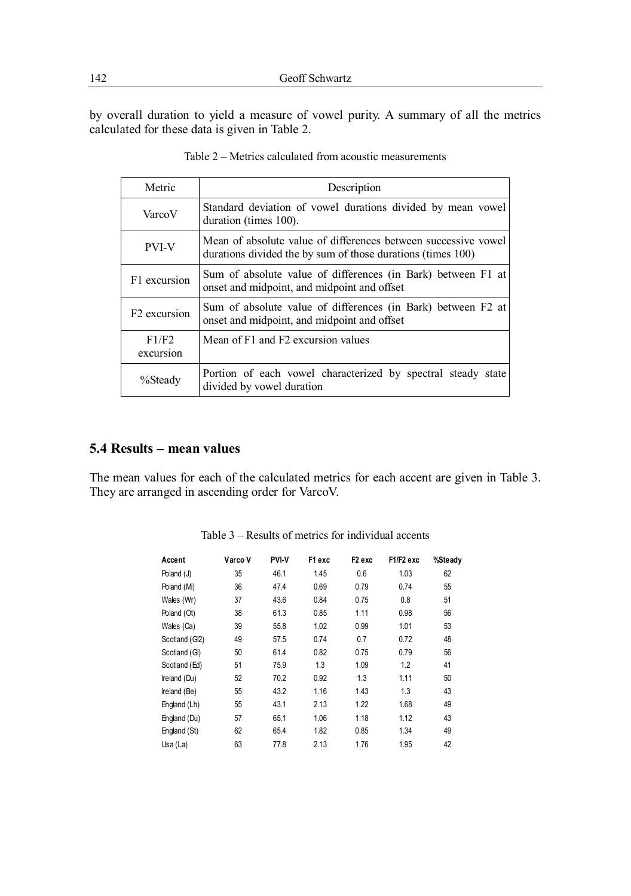by overall duration to yield a measure of vowel purity. A summary of all the metrics calculated for these data is given in Table 2.

| Metric                   | Description                                                                                                                   |
|--------------------------|-------------------------------------------------------------------------------------------------------------------------------|
| VarcoV                   | Standard deviation of vowel durations divided by mean vowel<br>duration (times 100).                                          |
| <b>PVI-V</b>             | Mean of absolute value of differences between successive vowel<br>durations divided the by sum of those durations (times 100) |
| F1 excursion             | Sum of absolute value of differences (in Bark) between F1 at<br>onset and midpoint, and midpoint and offset                   |
| F <sub>2</sub> excursion | Sum of absolute value of differences (in Bark) between F2 at<br>onset and midpoint, and midpoint and offset                   |
| F1/F2<br>excursion       | Mean of F1 and F2 excursion values                                                                                            |
| %Steady                  | Portion of each vowel characterized by spectral steady state<br>divided by vowel duration                                     |

| Table 2 – Metrics calculated from acoustic measurements |
|---------------------------------------------------------|
|                                                         |

# **5.4 Results – mean values**

The mean values for each of the calculated metrics for each accent are given in Table 3. They are arranged in ascending order for VarcoV.

| Accent         | Varco V | PVI-V | F1 exc | F <sub>2</sub> exc | F1/F2 exc | %Steady |
|----------------|---------|-------|--------|--------------------|-----------|---------|
| Poland (J)     | 35      | 46.1  | 1.45   | 0.6                | 1.03      | 62      |
| Poland (Mi)    | 36      | 47.4  | 0.69   | 0.79               | 0.74      | 55      |
| Wales (Wr)     | 37      | 43.6  | 0.84   | 0.75               | 0.8       | 51      |
| Poland (Ot)    | 38      | 61.3  | 0.85   | 1.11               | 0.98      | 56      |
| Wales (Ca)     | 39      | 55.8  | 1.02   | 0.99               | 1.01      | 53      |
| Scotland (GI2) | 49      | 57.5  | 0.74   | 0.7                | 0.72      | 48      |
| Scotland (GI)  | 50      | 61.4  | 0.82   | 0.75               | 0.79      | 56      |
| Scotland (Ed)  | 51      | 75.9  | 1.3    | 1.09               | 1.2       | 41      |
| Ireland (Du)   | 52      | 70.2  | 0.92   | 1.3                | 1.11      | 50      |
| Ireland (Be)   | 55      | 43.2  | 1.16   | 1.43               | 1.3       | 43      |
| England (Lh)   | 55      | 43.1  | 2.13   | 1.22               | 1.68      | 49      |
| England (Du)   | 57      | 65.1  | 1.06   | 1.18               | 1.12      | 43      |
| England (St)   | 62      | 65.4  | 1.82   | 0.85               | 1.34      | 49      |
| Usa (La)       | 63      | 77.8  | 2.13   | 1.76               | 1.95      | 42      |

Table 3 – Results of metrics for individual accents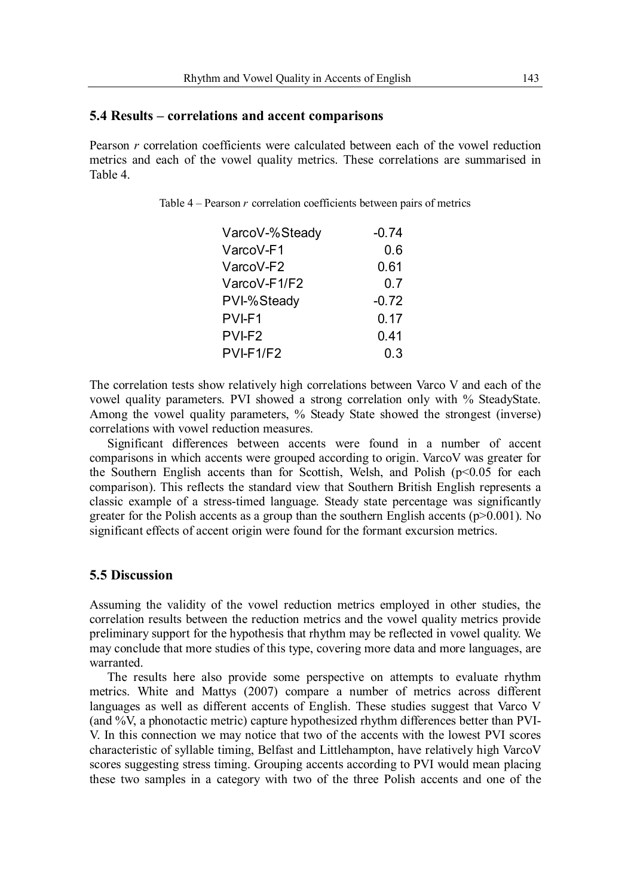#### **5.4 Results – correlations and accent comparisons**

Pearson *r* correlation coefficients were calculated between each of the vowel reduction metrics and each of the vowel quality metrics. These correlations are summarised in Table 4.

Table 4 – Pearson *r* correlation coefficients between pairs of metrics

| VarcoV-%Steady | $-0.74$ |
|----------------|---------|
| VarcoV-F1      | 0.6     |
| VarcoV-F2      | 0.61    |
| VarcoV-F1/F2   | 0.7     |
| PVI-%Steady    | $-0.72$ |
| PVI-F1         | 0.17    |
| PVI-F2         | 0.41    |
| PVI-F1/F2      | 0.3     |
|                |         |

The correlation tests show relatively high correlations between Varco V and each of the vowel quality parameters. PVI showed a strong correlation only with % SteadyState. Among the vowel quality parameters, % Steady State showed the strongest (inverse) correlations with vowel reduction measures.

Significant differences between accents were found in a number of accent comparisons in which accents were grouped according to origin. VarcoV was greater for the Southern English accents than for Scottish, Welsh, and Polish ( $p<0.05$  for each comparison). This reflects the standard view that Southern British English represents a classic example of a stress-timed language. Steady state percentage was significantly greater for the Polish accents as a group than the southern English accents  $(p>0.001)$ . No significant effects of accent origin were found for the formant excursion metrics.

#### **5.5 Discussion**

Assuming the validity of the vowel reduction metrics employed in other studies, the correlation results between the reduction metrics and the vowel quality metrics provide preliminary support for the hypothesis that rhythm may be reflected in vowel quality. We may conclude that more studies of this type, covering more data and more languages, are warranted.

The results here also provide some perspective on attempts to evaluate rhythm metrics. White and Mattys (2007) compare a number of metrics across different languages as well as different accents of English. These studies suggest that Varco V (and %V, a phonotactic metric) capture hypothesized rhythm differences better than PVI-V. In this connection we may notice that two of the accents with the lowest PVI scores characteristic of syllable timing, Belfast and Littlehampton, have relatively high VarcoV scores suggesting stress timing. Grouping accents according to PVI would mean placing these two samples in a category with two of the three Polish accents and one of the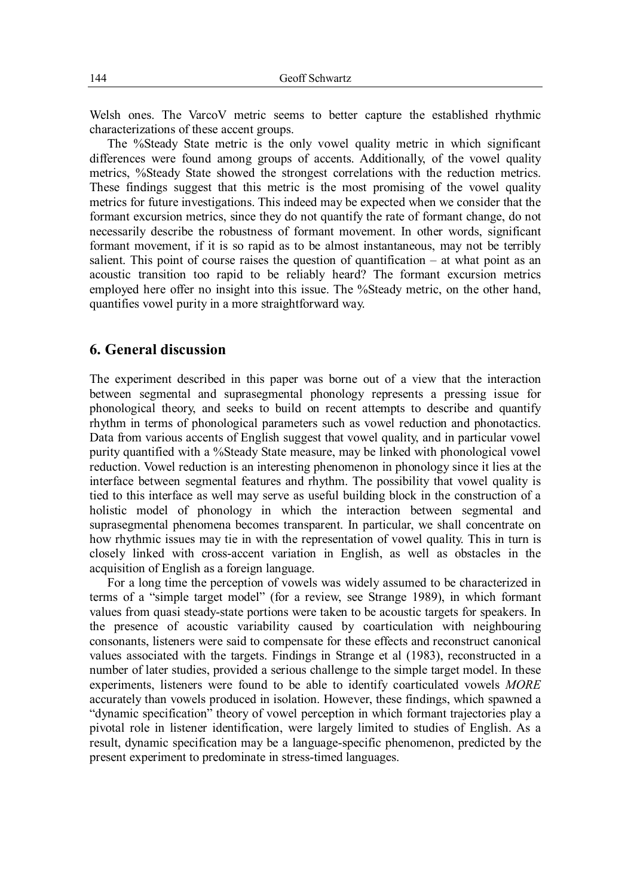Welsh ones. The VarcoV metric seems to better capture the established rhythmic characterizations of these accent groups.

The %Steady State metric is the only vowel quality metric in which significant differences were found among groups of accents. Additionally, of the vowel quality metrics, %Steady State showed the strongest correlations with the reduction metrics. These findings suggest that this metric is the most promising of the vowel quality metrics for future investigations. This indeed may be expected when we consider that the formant excursion metrics, since they do not quantify the rate of formant change, do not necessarily describe the robustness of formant movement. In other words, significant formant movement, if it is so rapid as to be almost instantaneous, may not be terribly salient. This point of course raises the question of quantification – at what point as an acoustic transition too rapid to be reliably heard? The formant excursion metrics employed here offer no insight into this issue. The %Steady metric, on the other hand, quantifies vowel purity in a more straightforward way.

## **6. General discussion**

The experiment described in this paper was borne out of a view that the interaction between segmental and suprasegmental phonology represents a pressing issue for phonological theory, and seeks to build on recent attempts to describe and quantify rhythm in terms of phonological parameters such as vowel reduction and phonotactics. Data from various accents of English suggest that vowel quality, and in particular vowel purity quantified with a %Steady State measure, may be linked with phonological vowel reduction. Vowel reduction is an interesting phenomenon in phonology since it lies at the interface between segmental features and rhythm. The possibility that vowel quality is tied to this interface as well may serve as useful building block in the construction of a holistic model of phonology in which the interaction between segmental and suprasegmental phenomena becomes transparent. In particular, we shall concentrate on how rhythmic issues may tie in with the representation of vowel quality. This in turn is closely linked with cross-accent variation in English, as well as obstacles in the acquisition of English as a foreign language.

For a long time the perception of vowels was widely assumed to be characterized in terms of a "simple target model" (for a review, see Strange 1989), in which formant values from quasi steady-state portions were taken to be acoustic targets for speakers. In the presence of acoustic variability caused by coarticulation with neighbouring consonants, listeners were said to compensate for these effects and reconstruct canonical values associated with the targets. Findings in Strange et al (1983), reconstructed in a number of later studies, provided a serious challenge to the simple target model. In these experiments, listeners were found to be able to identify coarticulated vowels *MORE* accurately than vowels produced in isolation. However, these findings, which spawned a "dynamic specification" theory of vowel perception in which formant trajectories play a pivotal role in listener identification, were largely limited to studies of English. As a result, dynamic specification may be a language-specific phenomenon, predicted by the present experiment to predominate in stress-timed languages.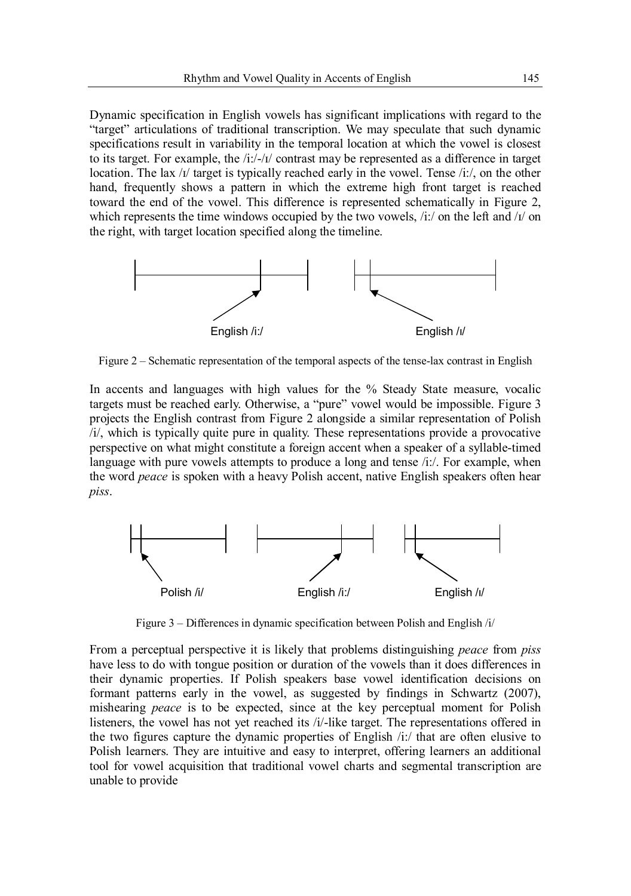Dynamic specification in English vowels has significant implications with regard to the "target" articulations of traditional transcription. We may speculate that such dynamic specifications result in variability in the temporal location at which the vowel is closest to its target. For example, the  $/i$ :/- $/i$  contrast may be represented as a difference in target location. The lax  $\frac{1}{4}$  target is typically reached early in the vowel. Tense  $\frac{1}{1}$ , on the other hand, frequently shows a pattern in which the extreme high front target is reached toward the end of the vowel. This difference is represented schematically in Figure 2, which represents the time windows occupied by the two vowels,  $\pi/2$  on the left and  $\pi/2$  on the right, with target location specified along the timeline.



Figure 2 – Schematic representation of the temporal aspects of the tense-lax contrast in English

In accents and languages with high values for the % Steady State measure, vocalic targets must be reached early. Otherwise, a "pure" vowel would be impossible. Figure 3 projects the English contrast from Figure 2 alongside a similar representation of Polish /i/, which is typically quite pure in quality. These representations provide a provocative perspective on what might constitute a foreign accent when a speaker of a syllable-timed language with pure vowels attempts to produce a long and tense  $/i$ : For example, when the word *peace* is spoken with a heavy Polish accent, native English speakers often hear *piss*.



Figure 3 – Differences in dynamic specification between Polish and English /i/

From a perceptual perspective it is likely that problems distinguishing *peace* from *piss* have less to do with tongue position or duration of the vowels than it does differences in their dynamic properties. If Polish speakers base vowel identification decisions on formant patterns early in the vowel, as suggested by findings in Schwartz (2007), mishearing *peace* is to be expected, since at the key perceptual moment for Polish listeners, the vowel has not yet reached its /i/-like target. The representations offered in the two figures capture the dynamic properties of English /i:/ that are often elusive to Polish learners. They are intuitive and easy to interpret, offering learners an additional tool for vowel acquisition that traditional vowel charts and segmental transcription are unable to provide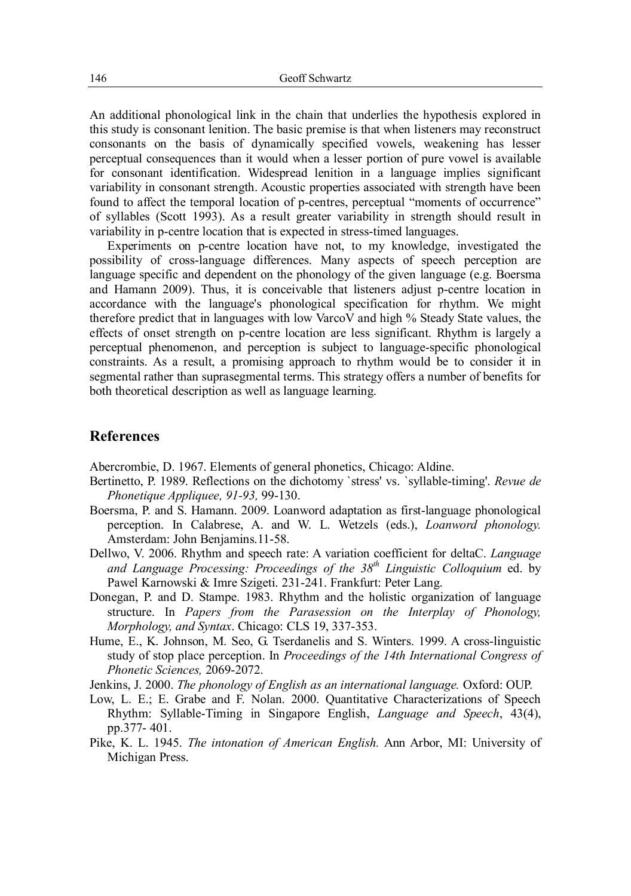An additional phonological link in the chain that underlies the hypothesis explored in this study is consonant lenition. The basic premise is that when listeners may reconstruct consonants on the basis of dynamically specified vowels, weakening has lesser perceptual consequences than it would when a lesser portion of pure vowel is available for consonant identification. Widespread lenition in a language implies significant variability in consonant strength. Acoustic properties associated with strength have been found to affect the temporal location of p-centres, perceptual "moments of occurrence" of syllables (Scott 1993). As a result greater variability in strength should result in variability in p-centre location that is expected in stress-timed languages.

Experiments on p-centre location have not, to my knowledge, investigated the possibility of cross-language differences. Many aspects of speech perception are language specific and dependent on the phonology of the given language (e.g. Boersma and Hamann 2009). Thus, it is conceivable that listeners adjust p-centre location in accordance with the language's phonological specification for rhythm. We might therefore predict that in languages with low VarcoV and high % Steady State values, the effects of onset strength on p-centre location are less significant. Rhythm is largely a perceptual phenomenon, and perception is subject to language-specific phonological constraints. As a result, a promising approach to rhythm would be to consider it in segmental rather than suprasegmental terms. This strategy offers a number of benefits for both theoretical description as well as language learning.

#### **References**

Abercrombie, D. 1967. Elements of general phonetics, Chicago: Aldine.

- Bertinetto, P. 1989. Reflections on the dichotomy `stress' vs. `syllable-timing'. *Revue de Phonetique Appliquee, 91-93,* 99-130.
- Boersma, P. and S. Hamann. 2009. Loanword adaptation as first-language phonological perception. In Calabrese, A. and W. L. Wetzels (eds.), *Loanword phonology.*  Amsterdam: John Benjamins.11-58.
- Dellwo, V. 2006. Rhythm and speech rate: A variation coefficient for deltaC. *Language and Language Processing: Proceedings of the 38th Linguistic Colloquium* ed. by Pawel Karnowski & Imre Szigeti. 231-241. Frankfurt: Peter Lang.
- Donegan, P. and D. Stampe. 1983. Rhythm and the holistic organization of language structure. In *Papers from the Parasession on the Interplay of Phonology, Morphology, and Syntax*. Chicago: CLS 19, 337-353.
- Hume, E., K. Johnson, M. Seo, G. Tserdanelis and S. Winters. 1999. A cross-linguistic study of stop place perception. In *Proceedings of the 14th International Congress of Phonetic Sciences,* 2069-2072.
- Jenkins, J. 2000. *The phonology of English as an international language.* Oxford: OUP.
- Low, L. E.; E. Grabe and F. Nolan. 2000. Quantitative Characterizations of Speech Rhythm: Syllable-Timing in Singapore English, *Language and Speech*, 43(4), pp.377- 401.
- Pike, K. L. 1945. *The intonation of American English.* Ann Arbor, MI: University of Michigan Press.